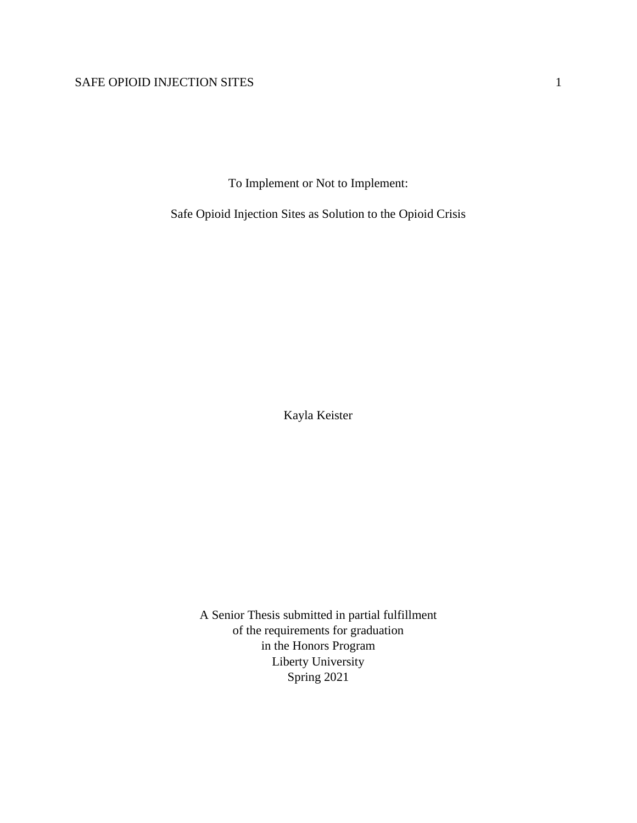To Implement or Not to Implement:

Safe Opioid Injection Sites as Solution to the Opioid Crisis

Kayla Keister

A Senior Thesis submitted in partial fulfillment of the requirements for graduation in the Honors Program Liberty University Spring 2021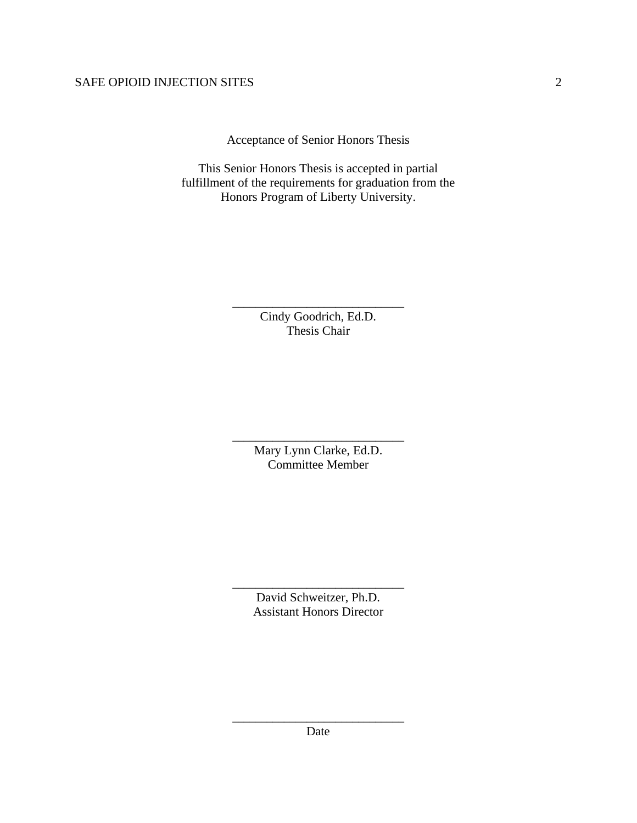Acceptance of Senior Honors Thesis

This Senior Honors Thesis is accepted in partial fulfillment of the requirements for graduation from the Honors Program of Liberty University.

> Cindy Goodrich, Ed.D. Thesis Chair

\_\_\_\_\_\_\_\_\_\_\_\_\_\_\_\_\_\_\_\_\_\_\_\_\_\_\_\_\_\_

Mary Lynn Clarke, Ed.D. Committee Member

\_\_\_\_\_\_\_\_\_\_\_\_\_\_\_\_\_\_\_\_\_\_\_\_\_\_\_\_\_\_

David Schweitzer, Ph.D. Assistant Honors Director

\_\_\_\_\_\_\_\_\_\_\_\_\_\_\_\_\_\_\_\_\_\_\_\_\_\_\_\_\_\_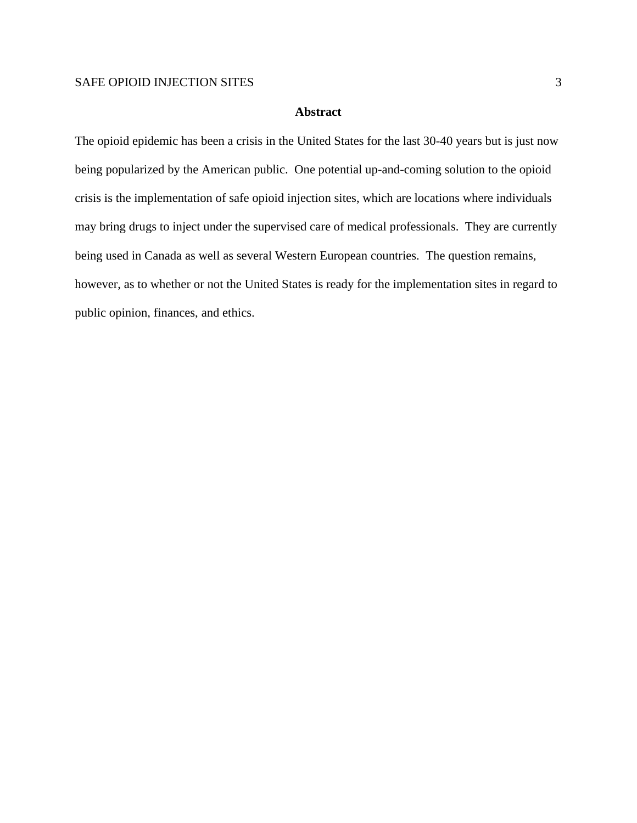#### **Abstract**

The opioid epidemic has been a crisis in the United States for the last 30-40 years but is just now being popularized by the American public. One potential up-and-coming solution to the opioid crisis is the implementation of safe opioid injection sites, which are locations where individuals may bring drugs to inject under the supervised care of medical professionals. They are currently being used in Canada as well as several Western European countries. The question remains, however, as to whether or not the United States is ready for the implementation sites in regard to public opinion, finances, and ethics.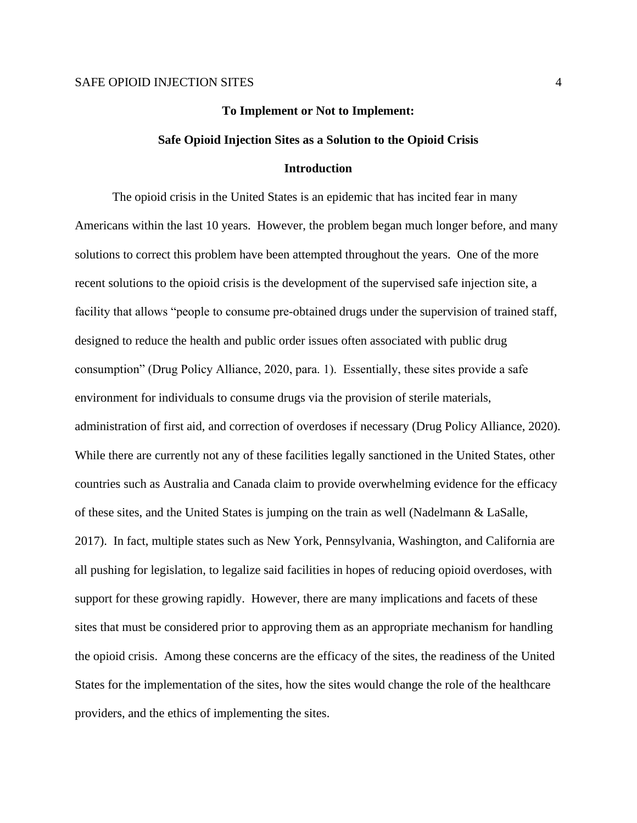# **To Implement or Not to Implement: Safe Opioid Injection Sites as a Solution to the Opioid Crisis Introduction**

The opioid crisis in the United States is an epidemic that has incited fear in many Americans within the last 10 years. However, the problem began much longer before, and many solutions to correct this problem have been attempted throughout the years. One of the more recent solutions to the opioid crisis is the development of the supervised safe injection site, a facility that allows "people to consume pre-obtained drugs under the supervision of trained staff, designed to reduce the health and public order issues often associated with public drug consumption" (Drug Policy Alliance, 2020, para. 1). Essentially, these sites provide a safe environment for individuals to consume drugs via the provision of sterile materials, administration of first aid, and correction of overdoses if necessary (Drug Policy Alliance, 2020). While there are currently not any of these facilities legally sanctioned in the United States, other countries such as Australia and Canada claim to provide overwhelming evidence for the efficacy of these sites, and the United States is jumping on the train as well (Nadelmann & LaSalle, 2017). In fact, multiple states such as New York, Pennsylvania, Washington, and California are all pushing for legislation, to legalize said facilities in hopes of reducing opioid overdoses, with support for these growing rapidly. However, there are many implications and facets of these sites that must be considered prior to approving them as an appropriate mechanism for handling the opioid crisis. Among these concerns are the efficacy of the sites, the readiness of the United States for the implementation of the sites, how the sites would change the role of the healthcare providers, and the ethics of implementing the sites.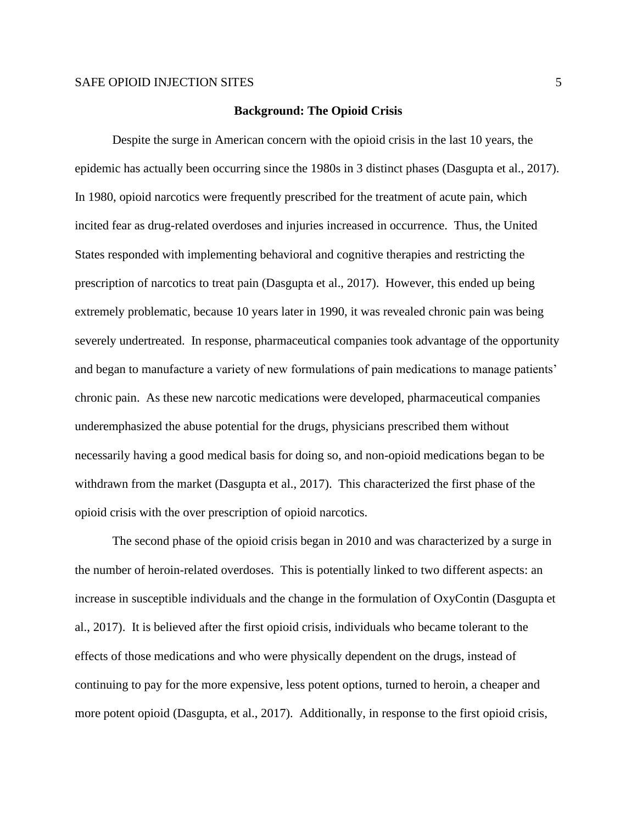#### **Background: The Opioid Crisis**

Despite the surge in American concern with the opioid crisis in the last 10 years, the epidemic has actually been occurring since the 1980s in 3 distinct phases (Dasgupta et al., 2017). In 1980, opioid narcotics were frequently prescribed for the treatment of acute pain, which incited fear as drug-related overdoses and injuries increased in occurrence. Thus, the United States responded with implementing behavioral and cognitive therapies and restricting the prescription of narcotics to treat pain (Dasgupta et al., 2017). However, this ended up being extremely problematic, because 10 years later in 1990, it was revealed chronic pain was being severely undertreated. In response, pharmaceutical companies took advantage of the opportunity and began to manufacture a variety of new formulations of pain medications to manage patients' chronic pain. As these new narcotic medications were developed, pharmaceutical companies underemphasized the abuse potential for the drugs, physicians prescribed them without necessarily having a good medical basis for doing so, and non-opioid medications began to be withdrawn from the market (Dasgupta et al., 2017). This characterized the first phase of the opioid crisis with the over prescription of opioid narcotics.

The second phase of the opioid crisis began in 2010 and was characterized by a surge in the number of heroin-related overdoses. This is potentially linked to two different aspects: an increase in susceptible individuals and the change in the formulation of OxyContin (Dasgupta et al., 2017). It is believed after the first opioid crisis, individuals who became tolerant to the effects of those medications and who were physically dependent on the drugs, instead of continuing to pay for the more expensive, less potent options, turned to heroin, a cheaper and more potent opioid (Dasgupta, et al., 2017). Additionally, in response to the first opioid crisis,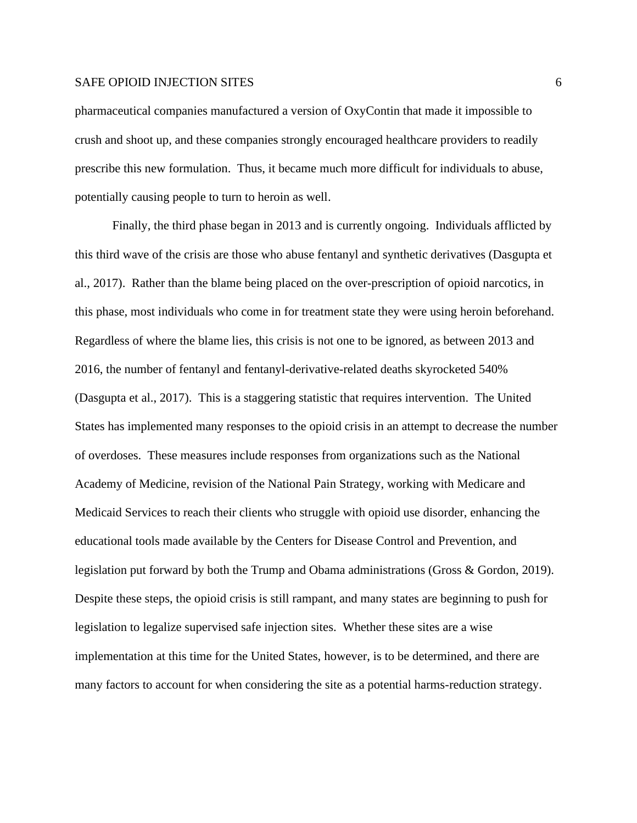pharmaceutical companies manufactured a version of OxyContin that made it impossible to crush and shoot up, and these companies strongly encouraged healthcare providers to readily prescribe this new formulation. Thus, it became much more difficult for individuals to abuse, potentially causing people to turn to heroin as well.

Finally, the third phase began in 2013 and is currently ongoing. Individuals afflicted by this third wave of the crisis are those who abuse fentanyl and synthetic derivatives (Dasgupta et al., 2017). Rather than the blame being placed on the over-prescription of opioid narcotics, in this phase, most individuals who come in for treatment state they were using heroin beforehand. Regardless of where the blame lies, this crisis is not one to be ignored, as between 2013 and 2016, the number of fentanyl and fentanyl-derivative-related deaths skyrocketed 540% (Dasgupta et al., 2017). This is a staggering statistic that requires intervention. The United States has implemented many responses to the opioid crisis in an attempt to decrease the number of overdoses. These measures include responses from organizations such as the National Academy of Medicine, revision of the National Pain Strategy, working with Medicare and Medicaid Services to reach their clients who struggle with opioid use disorder, enhancing the educational tools made available by the Centers for Disease Control and Prevention, and legislation put forward by both the Trump and Obama administrations (Gross & Gordon, 2019). Despite these steps, the opioid crisis is still rampant, and many states are beginning to push for legislation to legalize supervised safe injection sites. Whether these sites are a wise implementation at this time for the United States, however, is to be determined, and there are many factors to account for when considering the site as a potential harms-reduction strategy.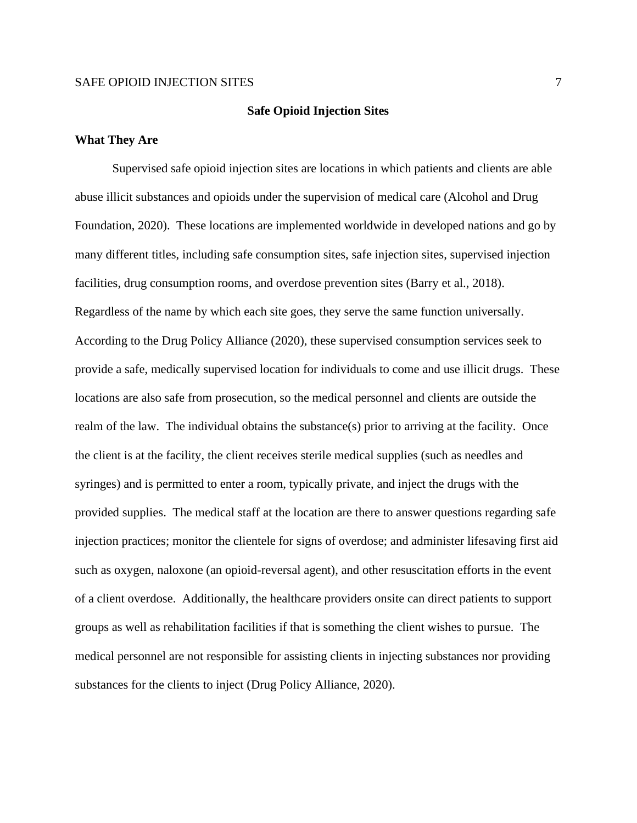#### **Safe Opioid Injection Sites**

#### **What They Are**

Supervised safe opioid injection sites are locations in which patients and clients are able abuse illicit substances and opioids under the supervision of medical care (Alcohol and Drug Foundation, 2020). These locations are implemented worldwide in developed nations and go by many different titles, including safe consumption sites, safe injection sites, supervised injection facilities, drug consumption rooms, and overdose prevention sites (Barry et al., 2018). Regardless of the name by which each site goes, they serve the same function universally. According to the Drug Policy Alliance (2020), these supervised consumption services seek to provide a safe, medically supervised location for individuals to come and use illicit drugs. These locations are also safe from prosecution, so the medical personnel and clients are outside the realm of the law. The individual obtains the substance(s) prior to arriving at the facility. Once the client is at the facility, the client receives sterile medical supplies (such as needles and syringes) and is permitted to enter a room, typically private, and inject the drugs with the provided supplies. The medical staff at the location are there to answer questions regarding safe injection practices; monitor the clientele for signs of overdose; and administer lifesaving first aid such as oxygen, naloxone (an opioid-reversal agent), and other resuscitation efforts in the event of a client overdose. Additionally, the healthcare providers onsite can direct patients to support groups as well as rehabilitation facilities if that is something the client wishes to pursue. The medical personnel are not responsible for assisting clients in injecting substances nor providing substances for the clients to inject (Drug Policy Alliance, 2020).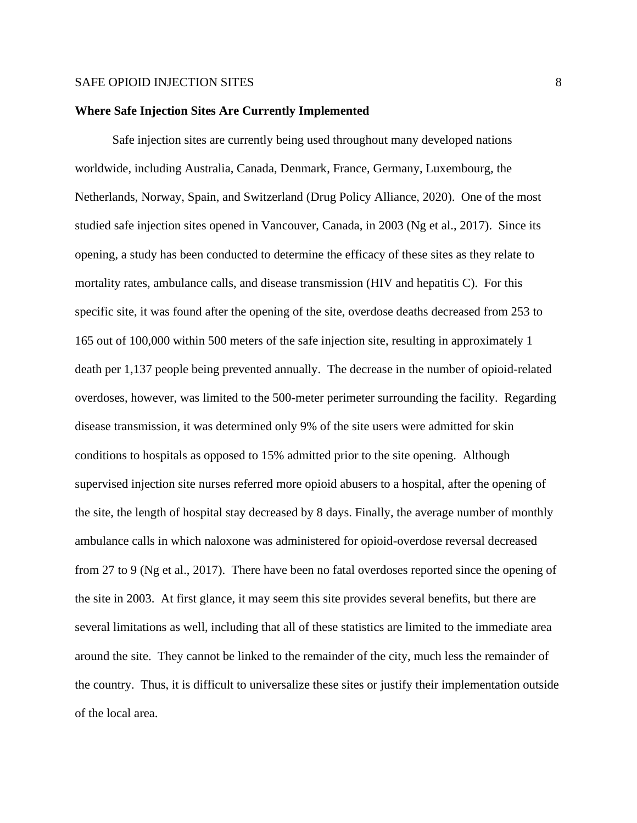#### **Where Safe Injection Sites Are Currently Implemented**

Safe injection sites are currently being used throughout many developed nations worldwide, including Australia, Canada, Denmark, France, Germany, Luxembourg, the Netherlands, Norway, Spain, and Switzerland (Drug Policy Alliance, 2020). One of the most studied safe injection sites opened in Vancouver, Canada, in 2003 (Ng et al., 2017). Since its opening, a study has been conducted to determine the efficacy of these sites as they relate to mortality rates, ambulance calls, and disease transmission (HIV and hepatitis C). For this specific site, it was found after the opening of the site, overdose deaths decreased from 253 to 165 out of 100,000 within 500 meters of the safe injection site, resulting in approximately 1 death per 1,137 people being prevented annually. The decrease in the number of opioid-related overdoses, however, was limited to the 500-meter perimeter surrounding the facility. Regarding disease transmission, it was determined only 9% of the site users were admitted for skin conditions to hospitals as opposed to 15% admitted prior to the site opening. Although supervised injection site nurses referred more opioid abusers to a hospital, after the opening of the site, the length of hospital stay decreased by 8 days. Finally, the average number of monthly ambulance calls in which naloxone was administered for opioid-overdose reversal decreased from 27 to 9 (Ng et al., 2017). There have been no fatal overdoses reported since the opening of the site in 2003. At first glance, it may seem this site provides several benefits, but there are several limitations as well, including that all of these statistics are limited to the immediate area around the site. They cannot be linked to the remainder of the city, much less the remainder of the country. Thus, it is difficult to universalize these sites or justify their implementation outside of the local area.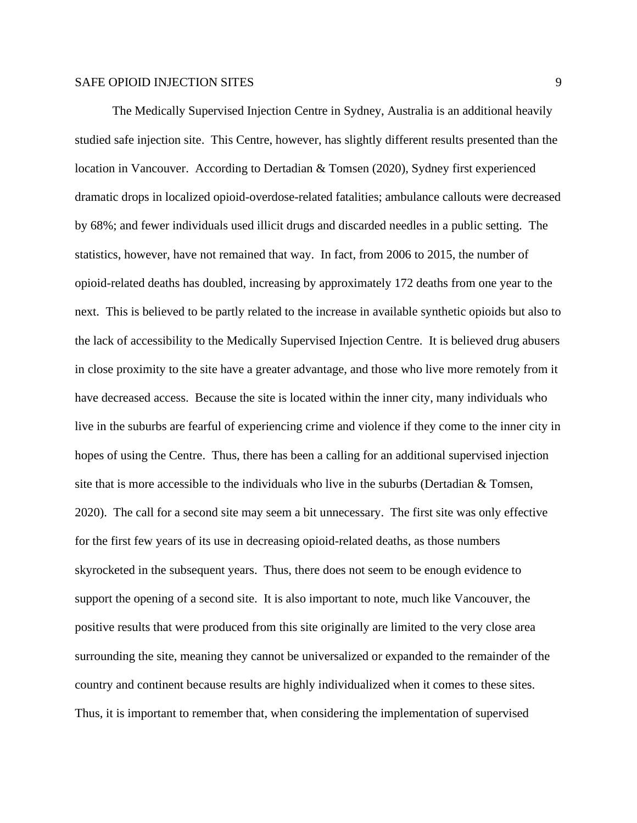The Medically Supervised Injection Centre in Sydney, Australia is an additional heavily studied safe injection site. This Centre, however, has slightly different results presented than the location in Vancouver. According to Dertadian & Tomsen (2020), Sydney first experienced dramatic drops in localized opioid-overdose-related fatalities; ambulance callouts were decreased by 68%; and fewer individuals used illicit drugs and discarded needles in a public setting. The statistics, however, have not remained that way. In fact, from 2006 to 2015, the number of opioid-related deaths has doubled, increasing by approximately 172 deaths from one year to the next. This is believed to be partly related to the increase in available synthetic opioids but also to the lack of accessibility to the Medically Supervised Injection Centre. It is believed drug abusers in close proximity to the site have a greater advantage, and those who live more remotely from it have decreased access. Because the site is located within the inner city, many individuals who live in the suburbs are fearful of experiencing crime and violence if they come to the inner city in hopes of using the Centre. Thus, there has been a calling for an additional supervised injection site that is more accessible to the individuals who live in the suburbs (Dertadian & Tomsen, 2020). The call for a second site may seem a bit unnecessary. The first site was only effective for the first few years of its use in decreasing opioid-related deaths, as those numbers skyrocketed in the subsequent years. Thus, there does not seem to be enough evidence to support the opening of a second site. It is also important to note, much like Vancouver, the positive results that were produced from this site originally are limited to the very close area surrounding the site, meaning they cannot be universalized or expanded to the remainder of the country and continent because results are highly individualized when it comes to these sites. Thus, it is important to remember that, when considering the implementation of supervised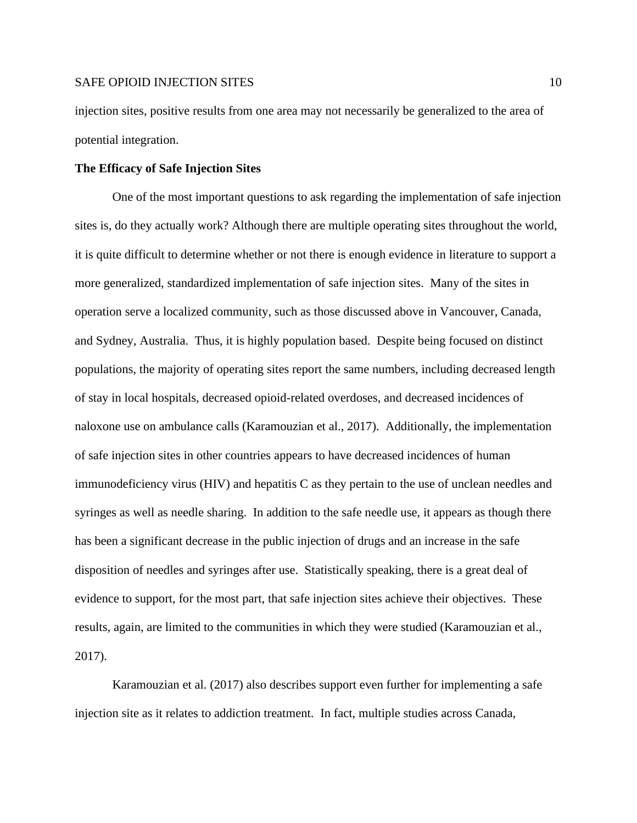injection sites, positive results from one area may not necessarily be generalized to the area of potential integration.

#### **The Efficacy of Safe Injection Sites**

One of the most important questions to ask regarding the implementation of safe injection sites is, do they actually work? Although there are multiple operating sites throughout the world, it is quite difficult to determine whether or not there is enough evidence in literature to support a more generalized, standardized implementation of safe injection sites. Many of the sites in operation serve a localized community, such as those discussed above in Vancouver, Canada, and Sydney, Australia. Thus, it is highly population based. Despite being focused on distinct populations, the majority of operating sites report the same numbers, including decreased length of stay in local hospitals, decreased opioid-related overdoses, and decreased incidences of naloxone use on ambulance calls (Karamouzian et al., 2017). Additionally, the implementation of safe injection sites in other countries appears to have decreased incidences of human immunodeficiency virus (HIV) and hepatitis C as they pertain to the use of unclean needles and syringes as well as needle sharing. In addition to the safe needle use, it appears as though there has been a significant decrease in the public injection of drugs and an increase in the safe disposition of needles and syringes after use. Statistically speaking, there is a great deal of evidence to support, for the most part, that safe injection sites achieve their objectives. These results, again, are limited to the communities in which they were studied (Karamouzian et al., 2017).

Karamouzian et al. (2017) also describes support even further for implementing a safe injection site as it relates to addiction treatment. In fact, multiple studies across Canada,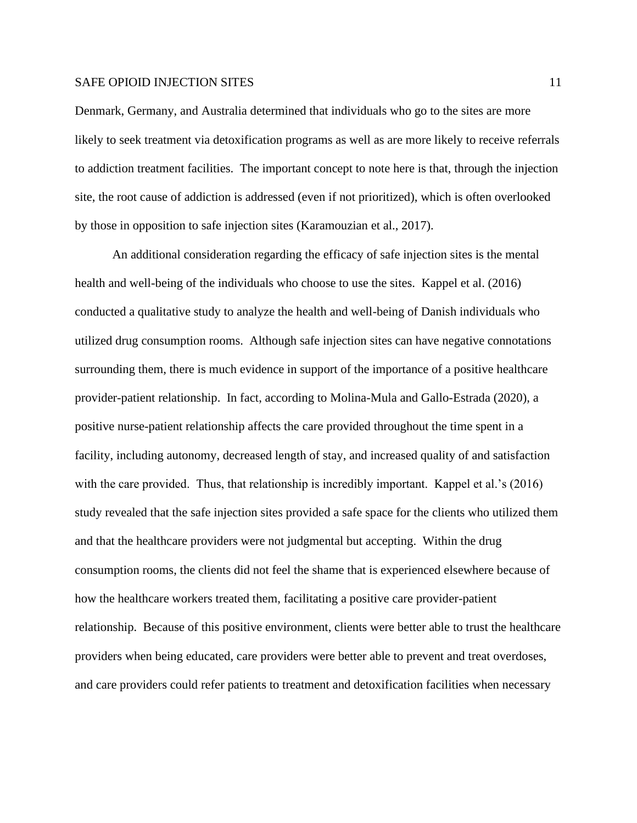Denmark, Germany, and Australia determined that individuals who go to the sites are more likely to seek treatment via detoxification programs as well as are more likely to receive referrals to addiction treatment facilities. The important concept to note here is that, through the injection site, the root cause of addiction is addressed (even if not prioritized), which is often overlooked by those in opposition to safe injection sites (Karamouzian et al., 2017).

An additional consideration regarding the efficacy of safe injection sites is the mental health and well-being of the individuals who choose to use the sites. Kappel et al. (2016) conducted a qualitative study to analyze the health and well-being of Danish individuals who utilized drug consumption rooms. Although safe injection sites can have negative connotations surrounding them, there is much evidence in support of the importance of a positive healthcare provider-patient relationship. In fact, according to Molina-Mula and Gallo-Estrada (2020), a positive nurse-patient relationship affects the care provided throughout the time spent in a facility, including autonomy, decreased length of stay, and increased quality of and satisfaction with the care provided. Thus, that relationship is incredibly important. Kappel et al.'s (2016) study revealed that the safe injection sites provided a safe space for the clients who utilized them and that the healthcare providers were not judgmental but accepting. Within the drug consumption rooms, the clients did not feel the shame that is experienced elsewhere because of how the healthcare workers treated them, facilitating a positive care provider-patient relationship. Because of this positive environment, clients were better able to trust the healthcare providers when being educated, care providers were better able to prevent and treat overdoses, and care providers could refer patients to treatment and detoxification facilities when necessary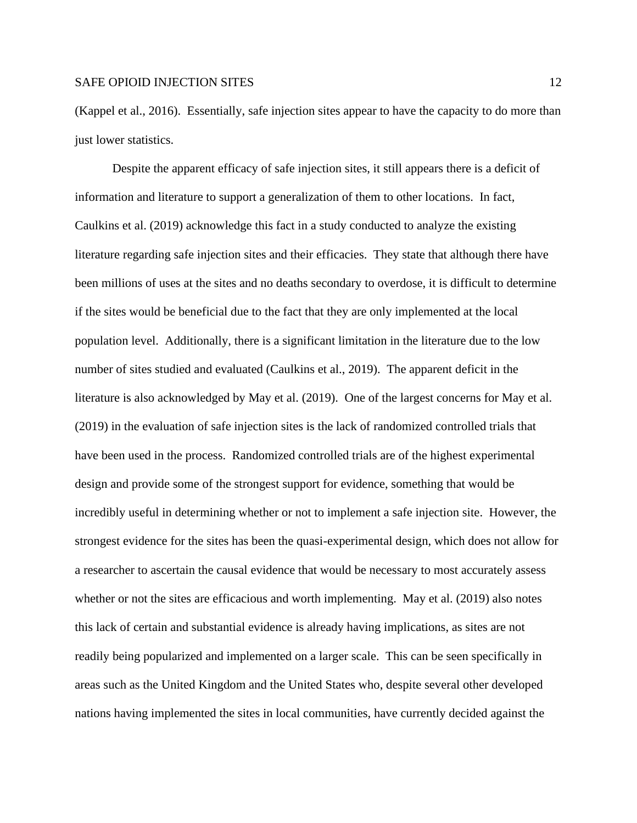(Kappel et al., 2016). Essentially, safe injection sites appear to have the capacity to do more than just lower statistics.

Despite the apparent efficacy of safe injection sites, it still appears there is a deficit of information and literature to support a generalization of them to other locations. In fact, Caulkins et al. (2019) acknowledge this fact in a study conducted to analyze the existing literature regarding safe injection sites and their efficacies. They state that although there have been millions of uses at the sites and no deaths secondary to overdose, it is difficult to determine if the sites would be beneficial due to the fact that they are only implemented at the local population level. Additionally, there is a significant limitation in the literature due to the low number of sites studied and evaluated (Caulkins et al., 2019). The apparent deficit in the literature is also acknowledged by May et al. (2019). One of the largest concerns for May et al. (2019) in the evaluation of safe injection sites is the lack of randomized controlled trials that have been used in the process. Randomized controlled trials are of the highest experimental design and provide some of the strongest support for evidence, something that would be incredibly useful in determining whether or not to implement a safe injection site. However, the strongest evidence for the sites has been the quasi-experimental design, which does not allow for a researcher to ascertain the causal evidence that would be necessary to most accurately assess whether or not the sites are efficacious and worth implementing. May et al. (2019) also notes this lack of certain and substantial evidence is already having implications, as sites are not readily being popularized and implemented on a larger scale. This can be seen specifically in areas such as the United Kingdom and the United States who, despite several other developed nations having implemented the sites in local communities, have currently decided against the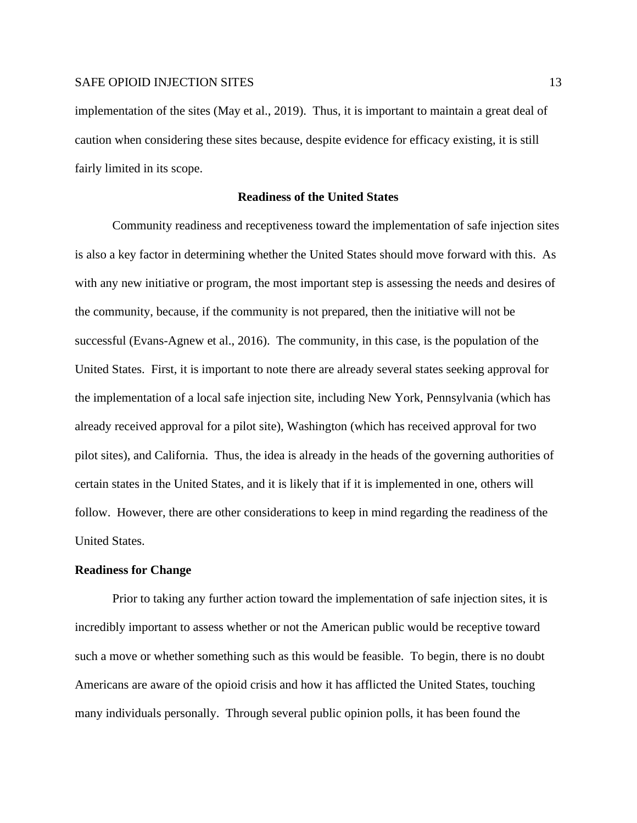implementation of the sites (May et al., 2019). Thus, it is important to maintain a great deal of caution when considering these sites because, despite evidence for efficacy existing, it is still fairly limited in its scope.

#### **Readiness of the United States**

Community readiness and receptiveness toward the implementation of safe injection sites is also a key factor in determining whether the United States should move forward with this. As with any new initiative or program, the most important step is assessing the needs and desires of the community, because, if the community is not prepared, then the initiative will not be successful (Evans-Agnew et al., 2016). The community, in this case, is the population of the United States. First, it is important to note there are already several states seeking approval for the implementation of a local safe injection site, including New York, Pennsylvania (which has already received approval for a pilot site), Washington (which has received approval for two pilot sites), and California. Thus, the idea is already in the heads of the governing authorities of certain states in the United States, and it is likely that if it is implemented in one, others will follow. However, there are other considerations to keep in mind regarding the readiness of the United States.

#### **Readiness for Change**

Prior to taking any further action toward the implementation of safe injection sites, it is incredibly important to assess whether or not the American public would be receptive toward such a move or whether something such as this would be feasible. To begin, there is no doubt Americans are aware of the opioid crisis and how it has afflicted the United States, touching many individuals personally. Through several public opinion polls, it has been found the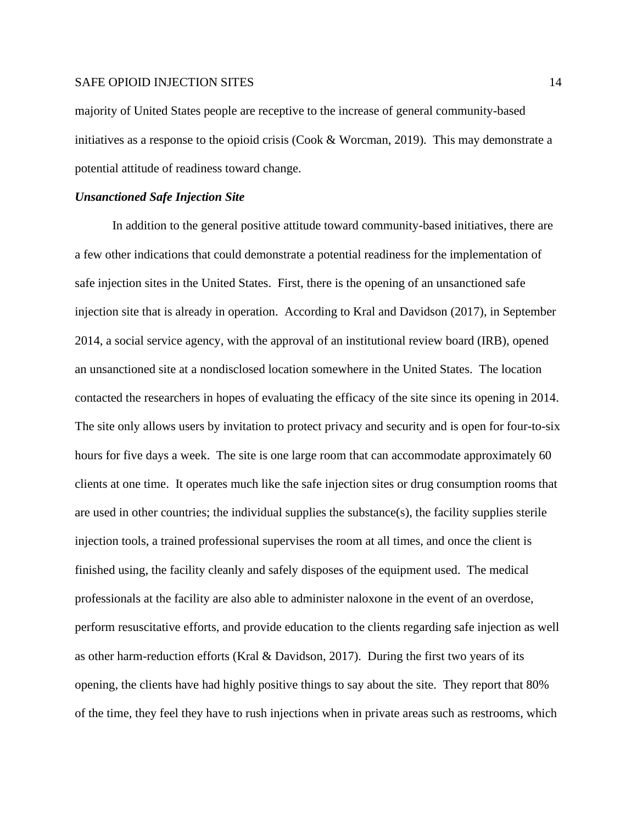majority of United States people are receptive to the increase of general community-based initiatives as a response to the opioid crisis (Cook & Worcman, 2019). This may demonstrate a potential attitude of readiness toward change.

#### *Unsanctioned Safe Injection Site*

In addition to the general positive attitude toward community-based initiatives, there are a few other indications that could demonstrate a potential readiness for the implementation of safe injection sites in the United States. First, there is the opening of an unsanctioned safe injection site that is already in operation. According to Kral and Davidson (2017), in September 2014, a social service agency, with the approval of an institutional review board (IRB), opened an unsanctioned site at a nondisclosed location somewhere in the United States. The location contacted the researchers in hopes of evaluating the efficacy of the site since its opening in 2014. The site only allows users by invitation to protect privacy and security and is open for four-to-six hours for five days a week. The site is one large room that can accommodate approximately 60 clients at one time. It operates much like the safe injection sites or drug consumption rooms that are used in other countries; the individual supplies the substance(s), the facility supplies sterile injection tools, a trained professional supervises the room at all times, and once the client is finished using, the facility cleanly and safely disposes of the equipment used. The medical professionals at the facility are also able to administer naloxone in the event of an overdose, perform resuscitative efforts, and provide education to the clients regarding safe injection as well as other harm-reduction efforts (Kral & Davidson, 2017). During the first two years of its opening, the clients have had highly positive things to say about the site. They report that 80% of the time, they feel they have to rush injections when in private areas such as restrooms, which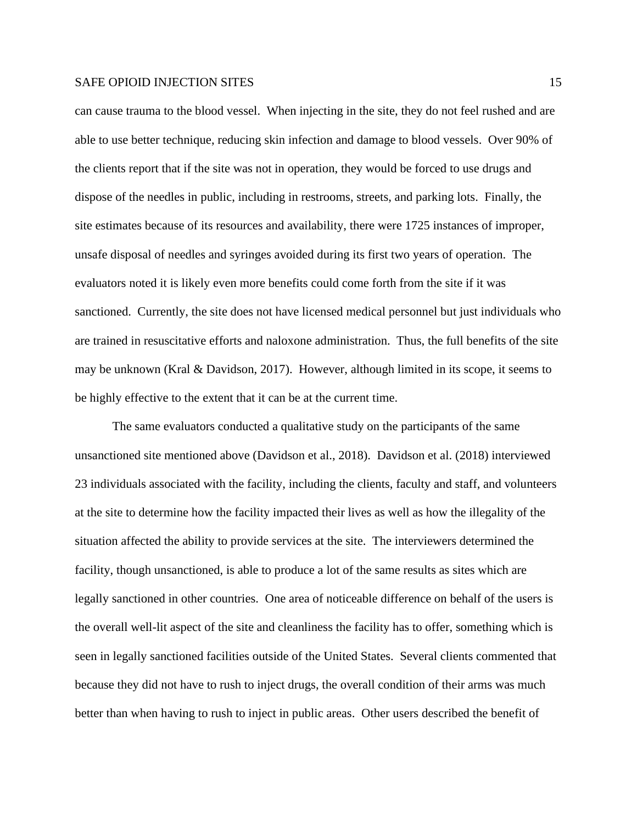can cause trauma to the blood vessel. When injecting in the site, they do not feel rushed and are able to use better technique, reducing skin infection and damage to blood vessels. Over 90% of the clients report that if the site was not in operation, they would be forced to use drugs and dispose of the needles in public, including in restrooms, streets, and parking lots. Finally, the site estimates because of its resources and availability, there were 1725 instances of improper, unsafe disposal of needles and syringes avoided during its first two years of operation. The evaluators noted it is likely even more benefits could come forth from the site if it was sanctioned. Currently, the site does not have licensed medical personnel but just individuals who are trained in resuscitative efforts and naloxone administration. Thus, the full benefits of the site may be unknown (Kral & Davidson, 2017). However, although limited in its scope, it seems to be highly effective to the extent that it can be at the current time.

The same evaluators conducted a qualitative study on the participants of the same unsanctioned site mentioned above (Davidson et al., 2018). Davidson et al. (2018) interviewed 23 individuals associated with the facility, including the clients, faculty and staff, and volunteers at the site to determine how the facility impacted their lives as well as how the illegality of the situation affected the ability to provide services at the site. The interviewers determined the facility, though unsanctioned, is able to produce a lot of the same results as sites which are legally sanctioned in other countries. One area of noticeable difference on behalf of the users is the overall well-lit aspect of the site and cleanliness the facility has to offer, something which is seen in legally sanctioned facilities outside of the United States. Several clients commented that because they did not have to rush to inject drugs, the overall condition of their arms was much better than when having to rush to inject in public areas. Other users described the benefit of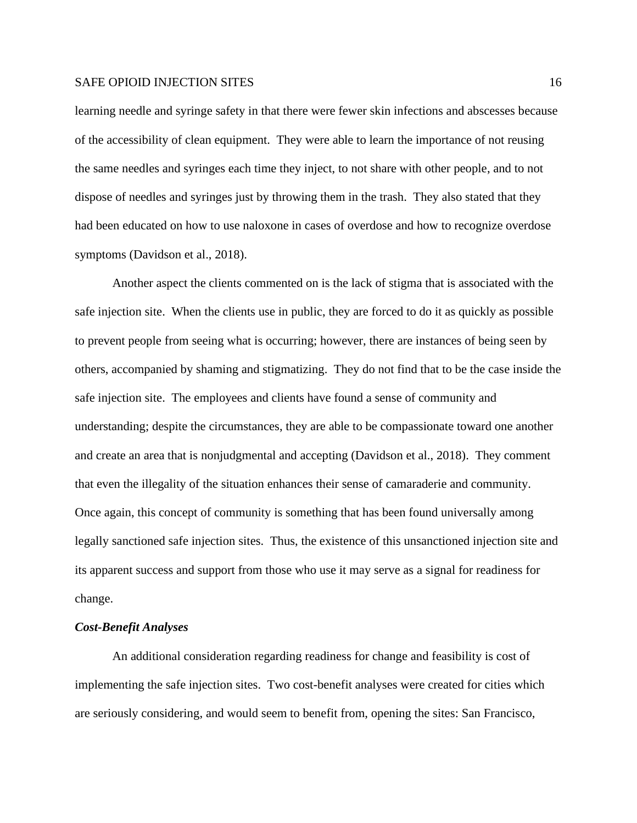learning needle and syringe safety in that there were fewer skin infections and abscesses because of the accessibility of clean equipment. They were able to learn the importance of not reusing the same needles and syringes each time they inject, to not share with other people, and to not dispose of needles and syringes just by throwing them in the trash. They also stated that they had been educated on how to use naloxone in cases of overdose and how to recognize overdose symptoms (Davidson et al., 2018).

Another aspect the clients commented on is the lack of stigma that is associated with the safe injection site. When the clients use in public, they are forced to do it as quickly as possible to prevent people from seeing what is occurring; however, there are instances of being seen by others, accompanied by shaming and stigmatizing. They do not find that to be the case inside the safe injection site. The employees and clients have found a sense of community and understanding; despite the circumstances, they are able to be compassionate toward one another and create an area that is nonjudgmental and accepting (Davidson et al., 2018). They comment that even the illegality of the situation enhances their sense of camaraderie and community. Once again, this concept of community is something that has been found universally among legally sanctioned safe injection sites. Thus, the existence of this unsanctioned injection site and its apparent success and support from those who use it may serve as a signal for readiness for change.

#### *Cost-Benefit Analyses*

An additional consideration regarding readiness for change and feasibility is cost of implementing the safe injection sites. Two cost-benefit analyses were created for cities which are seriously considering, and would seem to benefit from, opening the sites: San Francisco,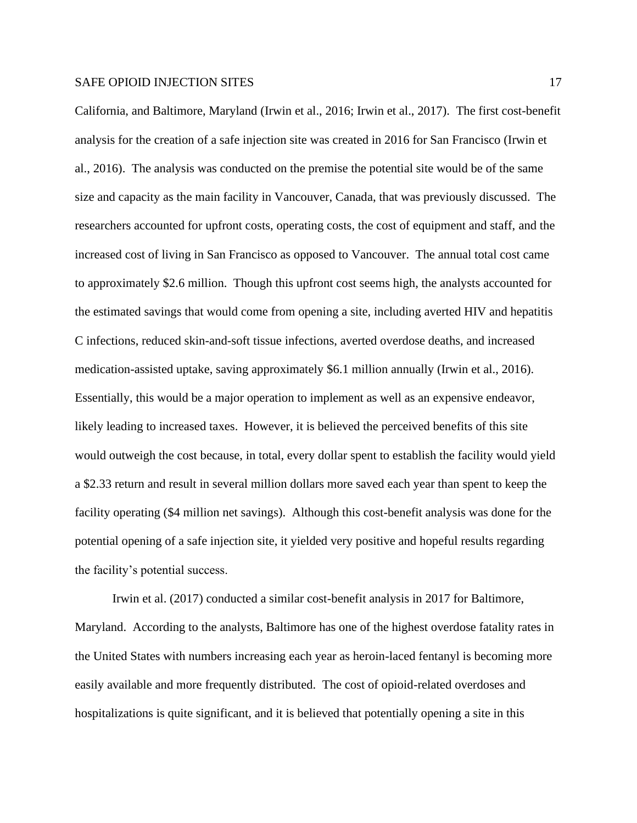California, and Baltimore, Maryland (Irwin et al., 2016; Irwin et al., 2017). The first cost-benefit analysis for the creation of a safe injection site was created in 2016 for San Francisco (Irwin et al., 2016). The analysis was conducted on the premise the potential site would be of the same size and capacity as the main facility in Vancouver, Canada, that was previously discussed. The researchers accounted for upfront costs, operating costs, the cost of equipment and staff, and the increased cost of living in San Francisco as opposed to Vancouver. The annual total cost came to approximately \$2.6 million. Though this upfront cost seems high, the analysts accounted for the estimated savings that would come from opening a site, including averted HIV and hepatitis C infections, reduced skin-and-soft tissue infections, averted overdose deaths, and increased medication-assisted uptake, saving approximately \$6.1 million annually (Irwin et al., 2016). Essentially, this would be a major operation to implement as well as an expensive endeavor, likely leading to increased taxes. However, it is believed the perceived benefits of this site would outweigh the cost because, in total, every dollar spent to establish the facility would yield a \$2.33 return and result in several million dollars more saved each year than spent to keep the facility operating (\$4 million net savings). Although this cost-benefit analysis was done for the potential opening of a safe injection site, it yielded very positive and hopeful results regarding the facility's potential success.

Irwin et al. (2017) conducted a similar cost-benefit analysis in 2017 for Baltimore, Maryland. According to the analysts, Baltimore has one of the highest overdose fatality rates in the United States with numbers increasing each year as heroin-laced fentanyl is becoming more easily available and more frequently distributed. The cost of opioid-related overdoses and hospitalizations is quite significant, and it is believed that potentially opening a site in this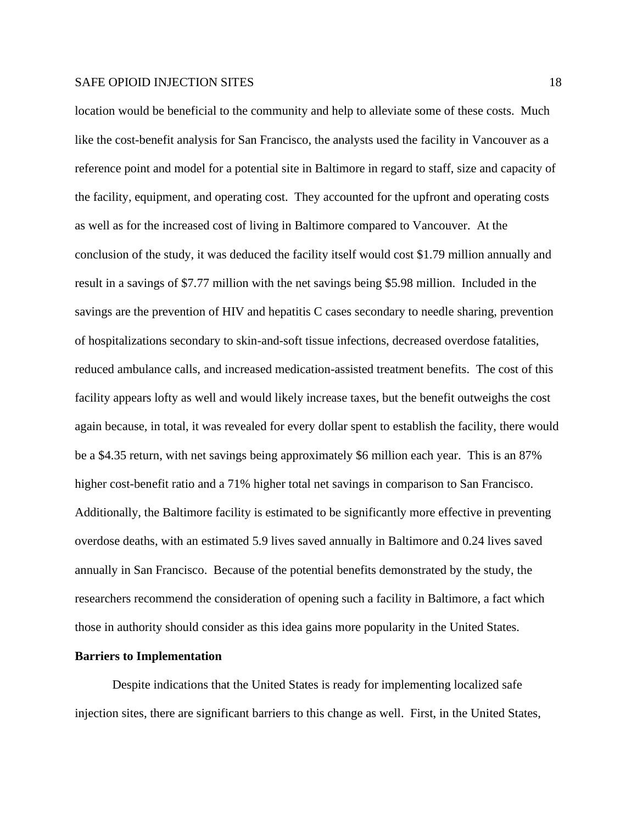location would be beneficial to the community and help to alleviate some of these costs. Much like the cost-benefit analysis for San Francisco, the analysts used the facility in Vancouver as a reference point and model for a potential site in Baltimore in regard to staff, size and capacity of the facility, equipment, and operating cost. They accounted for the upfront and operating costs as well as for the increased cost of living in Baltimore compared to Vancouver. At the conclusion of the study, it was deduced the facility itself would cost \$1.79 million annually and result in a savings of \$7.77 million with the net savings being \$5.98 million. Included in the savings are the prevention of HIV and hepatitis C cases secondary to needle sharing, prevention of hospitalizations secondary to skin-and-soft tissue infections, decreased overdose fatalities, reduced ambulance calls, and increased medication-assisted treatment benefits. The cost of this facility appears lofty as well and would likely increase taxes, but the benefit outweighs the cost again because, in total, it was revealed for every dollar spent to establish the facility, there would be a \$4.35 return, with net savings being approximately \$6 million each year. This is an 87% higher cost-benefit ratio and a 71% higher total net savings in comparison to San Francisco. Additionally, the Baltimore facility is estimated to be significantly more effective in preventing overdose deaths, with an estimated 5.9 lives saved annually in Baltimore and 0.24 lives saved annually in San Francisco. Because of the potential benefits demonstrated by the study, the researchers recommend the consideration of opening such a facility in Baltimore, a fact which those in authority should consider as this idea gains more popularity in the United States.

#### **Barriers to Implementation**

Despite indications that the United States is ready for implementing localized safe injection sites, there are significant barriers to this change as well. First, in the United States,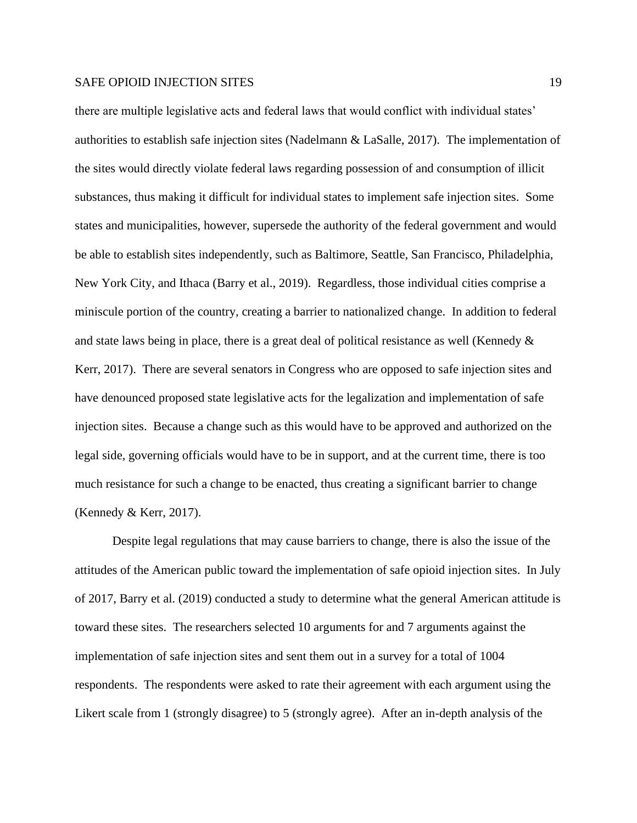there are multiple legislative acts and federal laws that would conflict with individual states' authorities to establish safe injection sites (Nadelmann & LaSalle, 2017). The implementation of the sites would directly violate federal laws regarding possession of and consumption of illicit substances, thus making it difficult for individual states to implement safe injection sites. Some states and municipalities, however, supersede the authority of the federal government and would be able to establish sites independently, such as Baltimore, Seattle, San Francisco, Philadelphia, New York City, and Ithaca (Barry et al., 2019). Regardless, those individual cities comprise a miniscule portion of the country, creating a barrier to nationalized change. In addition to federal and state laws being in place, there is a great deal of political resistance as well (Kennedy & Kerr, 2017). There are several senators in Congress who are opposed to safe injection sites and have denounced proposed state legislative acts for the legalization and implementation of safe injection sites. Because a change such as this would have to be approved and authorized on the legal side, governing officials would have to be in support, and at the current time, there is too much resistance for such a change to be enacted, thus creating a significant barrier to change (Kennedy & Kerr, 2017).

Despite legal regulations that may cause barriers to change, there is also the issue of the attitudes of the American public toward the implementation of safe opioid injection sites. In July of 2017, Barry et al. (2019) conducted a study to determine what the general American attitude is toward these sites. The researchers selected 10 arguments for and 7 arguments against the implementation of safe injection sites and sent them out in a survey for a total of 1004 respondents. The respondents were asked to rate their agreement with each argument using the Likert scale from 1 (strongly disagree) to 5 (strongly agree). After an in-depth analysis of the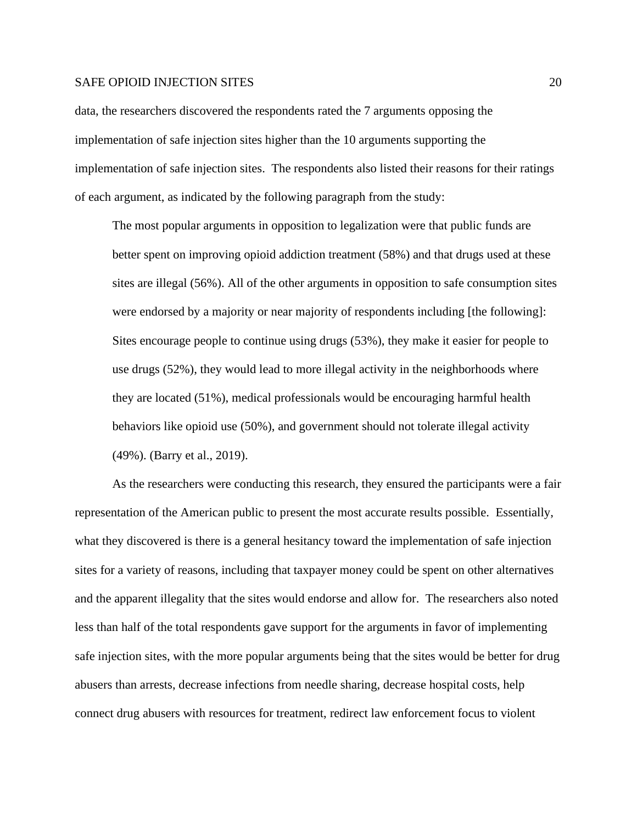data, the researchers discovered the respondents rated the 7 arguments opposing the implementation of safe injection sites higher than the 10 arguments supporting the implementation of safe injection sites. The respondents also listed their reasons for their ratings of each argument, as indicated by the following paragraph from the study:

The most popular arguments in opposition to legalization were that public funds are better spent on improving opioid addiction treatment (58%) and that drugs used at these sites are illegal (56%). All of the other arguments in opposition to safe consumption sites were endorsed by a majority or near majority of respondents including [the following]: Sites encourage people to continue using drugs (53%), they make it easier for people to use drugs (52%), they would lead to more illegal activity in the neighborhoods where they are located (51%), medical professionals would be encouraging harmful health behaviors like opioid use (50%), and government should not tolerate illegal activity (49%). (Barry et al., 2019).

As the researchers were conducting this research, they ensured the participants were a fair representation of the American public to present the most accurate results possible. Essentially, what they discovered is there is a general hesitancy toward the implementation of safe injection sites for a variety of reasons, including that taxpayer money could be spent on other alternatives and the apparent illegality that the sites would endorse and allow for. The researchers also noted less than half of the total respondents gave support for the arguments in favor of implementing safe injection sites, with the more popular arguments being that the sites would be better for drug abusers than arrests, decrease infections from needle sharing, decrease hospital costs, help connect drug abusers with resources for treatment, redirect law enforcement focus to violent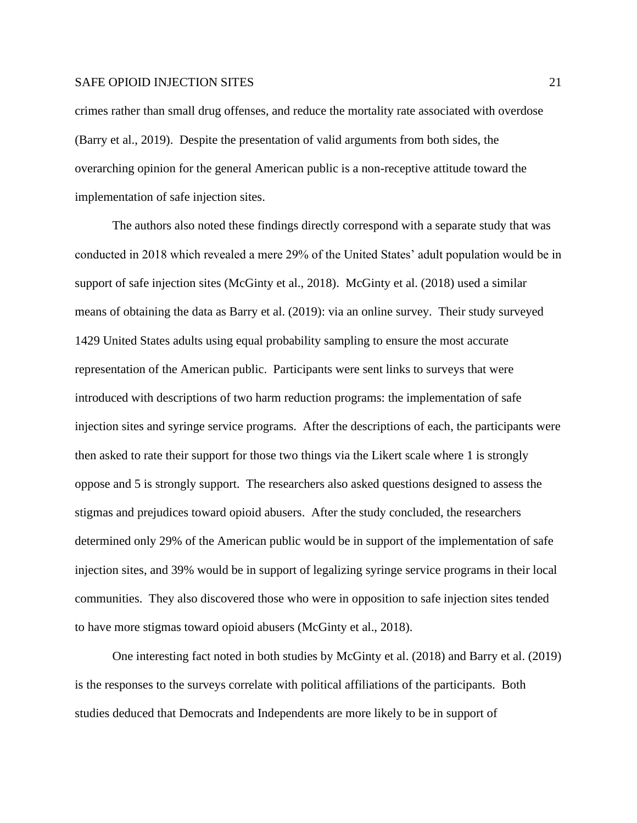crimes rather than small drug offenses, and reduce the mortality rate associated with overdose (Barry et al., 2019). Despite the presentation of valid arguments from both sides, the overarching opinion for the general American public is a non-receptive attitude toward the implementation of safe injection sites.

The authors also noted these findings directly correspond with a separate study that was conducted in 2018 which revealed a mere 29% of the United States' adult population would be in support of safe injection sites (McGinty et al., 2018). McGinty et al. (2018) used a similar means of obtaining the data as Barry et al. (2019): via an online survey. Their study surveyed 1429 United States adults using equal probability sampling to ensure the most accurate representation of the American public. Participants were sent links to surveys that were introduced with descriptions of two harm reduction programs: the implementation of safe injection sites and syringe service programs. After the descriptions of each, the participants were then asked to rate their support for those two things via the Likert scale where 1 is strongly oppose and 5 is strongly support. The researchers also asked questions designed to assess the stigmas and prejudices toward opioid abusers. After the study concluded, the researchers determined only 29% of the American public would be in support of the implementation of safe injection sites, and 39% would be in support of legalizing syringe service programs in their local communities. They also discovered those who were in opposition to safe injection sites tended to have more stigmas toward opioid abusers (McGinty et al., 2018).

One interesting fact noted in both studies by McGinty et al. (2018) and Barry et al. (2019) is the responses to the surveys correlate with political affiliations of the participants. Both studies deduced that Democrats and Independents are more likely to be in support of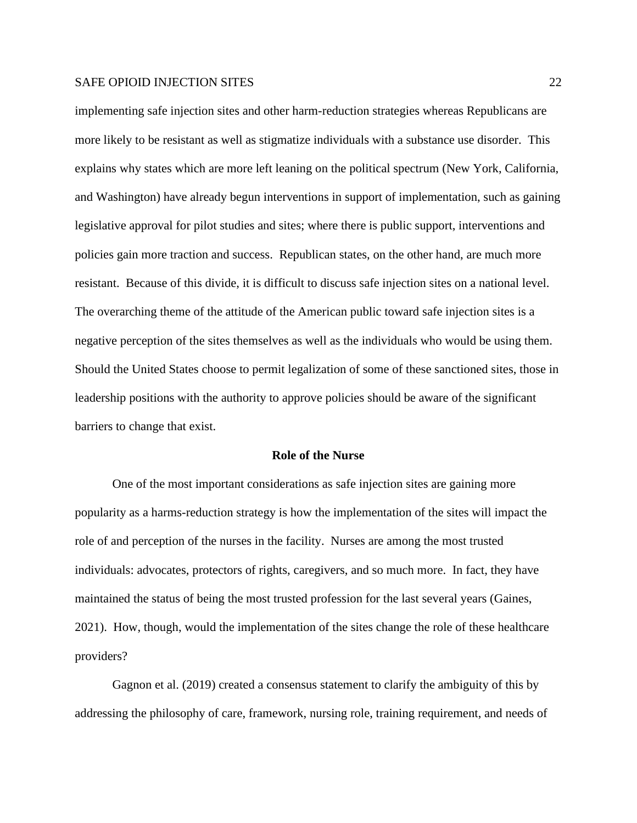implementing safe injection sites and other harm-reduction strategies whereas Republicans are more likely to be resistant as well as stigmatize individuals with a substance use disorder. This explains why states which are more left leaning on the political spectrum (New York, California, and Washington) have already begun interventions in support of implementation, such as gaining legislative approval for pilot studies and sites; where there is public support, interventions and policies gain more traction and success. Republican states, on the other hand, are much more resistant. Because of this divide, it is difficult to discuss safe injection sites on a national level. The overarching theme of the attitude of the American public toward safe injection sites is a negative perception of the sites themselves as well as the individuals who would be using them. Should the United States choose to permit legalization of some of these sanctioned sites, those in leadership positions with the authority to approve policies should be aware of the significant barriers to change that exist.

#### **Role of the Nurse**

One of the most important considerations as safe injection sites are gaining more popularity as a harms-reduction strategy is how the implementation of the sites will impact the role of and perception of the nurses in the facility. Nurses are among the most trusted individuals: advocates, protectors of rights, caregivers, and so much more. In fact, they have maintained the status of being the most trusted profession for the last several years (Gaines, 2021). How, though, would the implementation of the sites change the role of these healthcare providers?

Gagnon et al. (2019) created a consensus statement to clarify the ambiguity of this by addressing the philosophy of care, framework, nursing role, training requirement, and needs of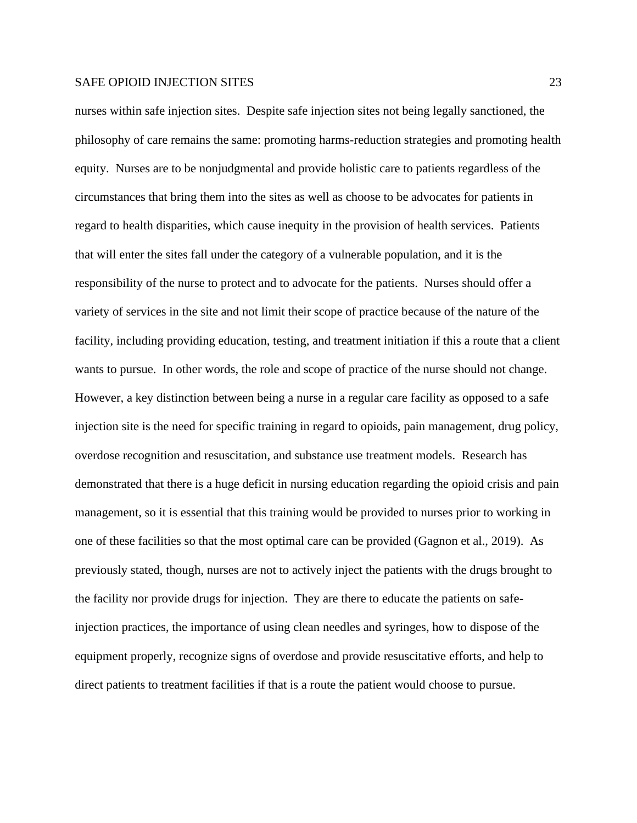nurses within safe injection sites. Despite safe injection sites not being legally sanctioned, the philosophy of care remains the same: promoting harms-reduction strategies and promoting health equity. Nurses are to be nonjudgmental and provide holistic care to patients regardless of the circumstances that bring them into the sites as well as choose to be advocates for patients in regard to health disparities, which cause inequity in the provision of health services. Patients that will enter the sites fall under the category of a vulnerable population, and it is the responsibility of the nurse to protect and to advocate for the patients. Nurses should offer a variety of services in the site and not limit their scope of practice because of the nature of the facility, including providing education, testing, and treatment initiation if this a route that a client wants to pursue. In other words, the role and scope of practice of the nurse should not change. However, a key distinction between being a nurse in a regular care facility as opposed to a safe injection site is the need for specific training in regard to opioids, pain management, drug policy, overdose recognition and resuscitation, and substance use treatment models. Research has demonstrated that there is a huge deficit in nursing education regarding the opioid crisis and pain management, so it is essential that this training would be provided to nurses prior to working in one of these facilities so that the most optimal care can be provided (Gagnon et al., 2019). As previously stated, though, nurses are not to actively inject the patients with the drugs brought to the facility nor provide drugs for injection. They are there to educate the patients on safeinjection practices, the importance of using clean needles and syringes, how to dispose of the equipment properly, recognize signs of overdose and provide resuscitative efforts, and help to direct patients to treatment facilities if that is a route the patient would choose to pursue.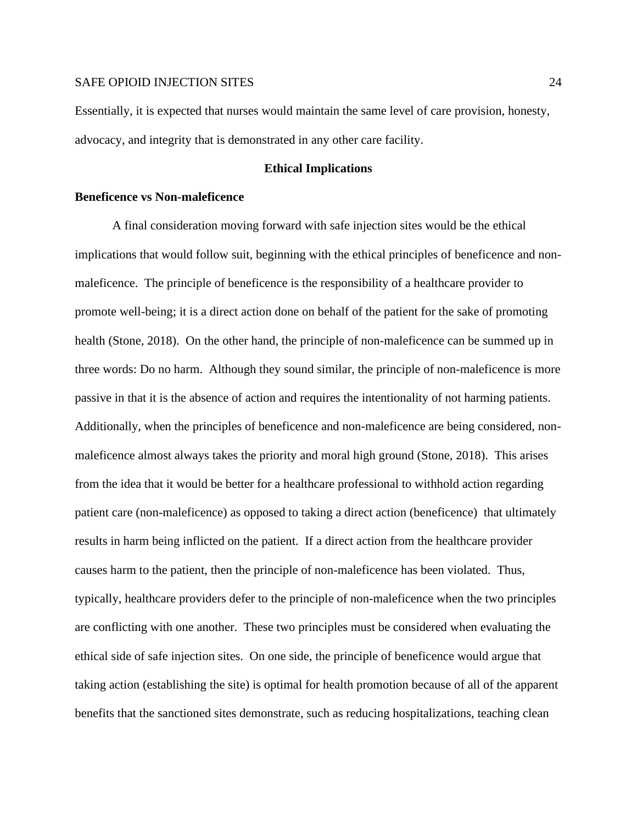Essentially, it is expected that nurses would maintain the same level of care provision, honesty, advocacy, and integrity that is demonstrated in any other care facility.

#### **Ethical Implications**

#### **Beneficence vs Non-maleficence**

A final consideration moving forward with safe injection sites would be the ethical implications that would follow suit, beginning with the ethical principles of beneficence and nonmaleficence. The principle of beneficence is the responsibility of a healthcare provider to promote well-being; it is a direct action done on behalf of the patient for the sake of promoting health (Stone, 2018). On the other hand, the principle of non-maleficence can be summed up in three words: Do no harm. Although they sound similar, the principle of non-maleficence is more passive in that it is the absence of action and requires the intentionality of not harming patients. Additionally, when the principles of beneficence and non-maleficence are being considered, nonmaleficence almost always takes the priority and moral high ground (Stone, 2018). This arises from the idea that it would be better for a healthcare professional to withhold action regarding patient care (non-maleficence) as opposed to taking a direct action (beneficence) that ultimately results in harm being inflicted on the patient. If a direct action from the healthcare provider causes harm to the patient, then the principle of non-maleficence has been violated. Thus, typically, healthcare providers defer to the principle of non-maleficence when the two principles are conflicting with one another. These two principles must be considered when evaluating the ethical side of safe injection sites. On one side, the principle of beneficence would argue that taking action (establishing the site) is optimal for health promotion because of all of the apparent benefits that the sanctioned sites demonstrate, such as reducing hospitalizations, teaching clean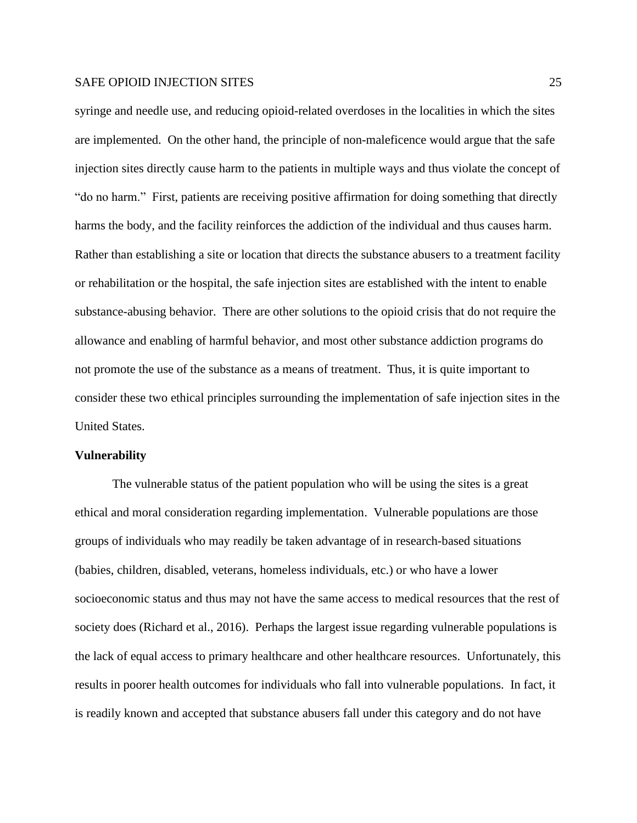syringe and needle use, and reducing opioid-related overdoses in the localities in which the sites are implemented. On the other hand, the principle of non-maleficence would argue that the safe injection sites directly cause harm to the patients in multiple ways and thus violate the concept of "do no harm." First, patients are receiving positive affirmation for doing something that directly harms the body, and the facility reinforces the addiction of the individual and thus causes harm. Rather than establishing a site or location that directs the substance abusers to a treatment facility or rehabilitation or the hospital, the safe injection sites are established with the intent to enable substance-abusing behavior. There are other solutions to the opioid crisis that do not require the allowance and enabling of harmful behavior, and most other substance addiction programs do not promote the use of the substance as a means of treatment. Thus, it is quite important to consider these two ethical principles surrounding the implementation of safe injection sites in the United States.

#### **Vulnerability**

The vulnerable status of the patient population who will be using the sites is a great ethical and moral consideration regarding implementation. Vulnerable populations are those groups of individuals who may readily be taken advantage of in research-based situations (babies, children, disabled, veterans, homeless individuals, etc.) or who have a lower socioeconomic status and thus may not have the same access to medical resources that the rest of society does (Richard et al., 2016). Perhaps the largest issue regarding vulnerable populations is the lack of equal access to primary healthcare and other healthcare resources. Unfortunately, this results in poorer health outcomes for individuals who fall into vulnerable populations. In fact, it is readily known and accepted that substance abusers fall under this category and do not have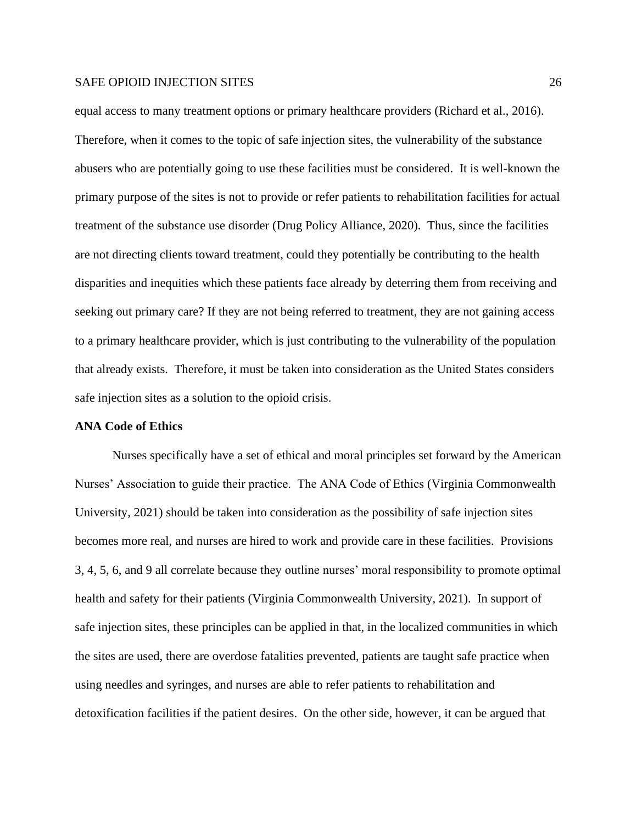equal access to many treatment options or primary healthcare providers (Richard et al., 2016). Therefore, when it comes to the topic of safe injection sites, the vulnerability of the substance abusers who are potentially going to use these facilities must be considered. It is well-known the primary purpose of the sites is not to provide or refer patients to rehabilitation facilities for actual treatment of the substance use disorder (Drug Policy Alliance, 2020). Thus, since the facilities are not directing clients toward treatment, could they potentially be contributing to the health disparities and inequities which these patients face already by deterring them from receiving and seeking out primary care? If they are not being referred to treatment, they are not gaining access to a primary healthcare provider, which is just contributing to the vulnerability of the population that already exists. Therefore, it must be taken into consideration as the United States considers safe injection sites as a solution to the opioid crisis.

#### **ANA Code of Ethics**

Nurses specifically have a set of ethical and moral principles set forward by the American Nurses' Association to guide their practice. The ANA Code of Ethics (Virginia Commonwealth University, 2021) should be taken into consideration as the possibility of safe injection sites becomes more real, and nurses are hired to work and provide care in these facilities. Provisions 3, 4, 5, 6, and 9 all correlate because they outline nurses' moral responsibility to promote optimal health and safety for their patients (Virginia Commonwealth University, 2021). In support of safe injection sites, these principles can be applied in that, in the localized communities in which the sites are used, there are overdose fatalities prevented, patients are taught safe practice when using needles and syringes, and nurses are able to refer patients to rehabilitation and detoxification facilities if the patient desires. On the other side, however, it can be argued that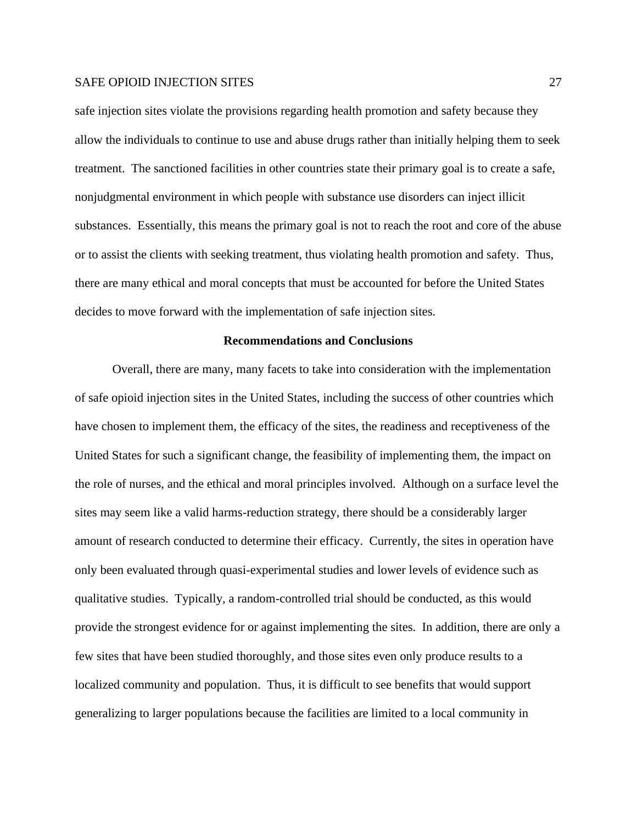safe injection sites violate the provisions regarding health promotion and safety because they allow the individuals to continue to use and abuse drugs rather than initially helping them to seek treatment. The sanctioned facilities in other countries state their primary goal is to create a safe, nonjudgmental environment in which people with substance use disorders can inject illicit substances. Essentially, this means the primary goal is not to reach the root and core of the abuse or to assist the clients with seeking treatment, thus violating health promotion and safety. Thus, there are many ethical and moral concepts that must be accounted for before the United States decides to move forward with the implementation of safe injection sites.

#### **Recommendations and Conclusions**

Overall, there are many, many facets to take into consideration with the implementation of safe opioid injection sites in the United States, including the success of other countries which have chosen to implement them, the efficacy of the sites, the readiness and receptiveness of the United States for such a significant change, the feasibility of implementing them, the impact on the role of nurses, and the ethical and moral principles involved. Although on a surface level the sites may seem like a valid harms-reduction strategy, there should be a considerably larger amount of research conducted to determine their efficacy. Currently, the sites in operation have only been evaluated through quasi-experimental studies and lower levels of evidence such as qualitative studies. Typically, a random-controlled trial should be conducted, as this would provide the strongest evidence for or against implementing the sites. In addition, there are only a few sites that have been studied thoroughly, and those sites even only produce results to a localized community and population. Thus, it is difficult to see benefits that would support generalizing to larger populations because the facilities are limited to a local community in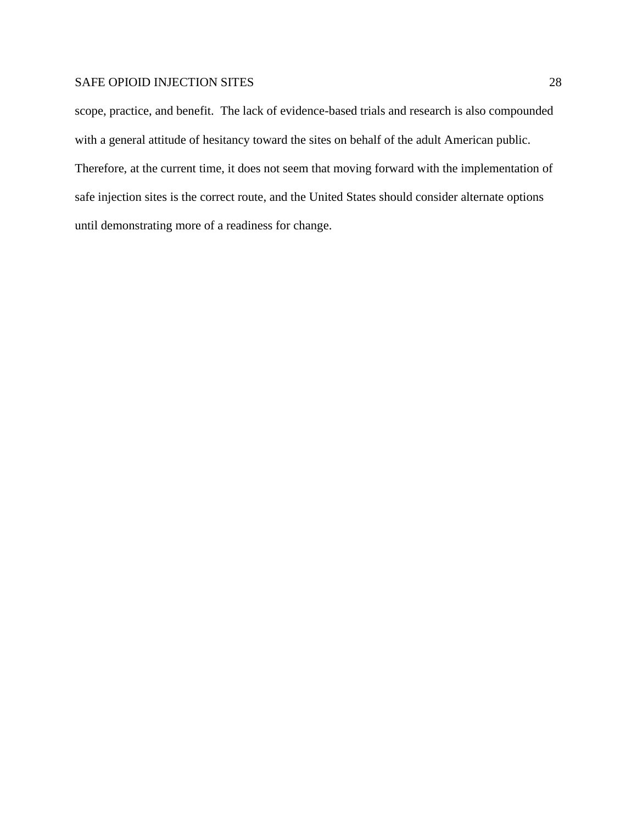scope, practice, and benefit. The lack of evidence-based trials and research is also compounded with a general attitude of hesitancy toward the sites on behalf of the adult American public. Therefore, at the current time, it does not seem that moving forward with the implementation of safe injection sites is the correct route, and the United States should consider alternate options until demonstrating more of a readiness for change.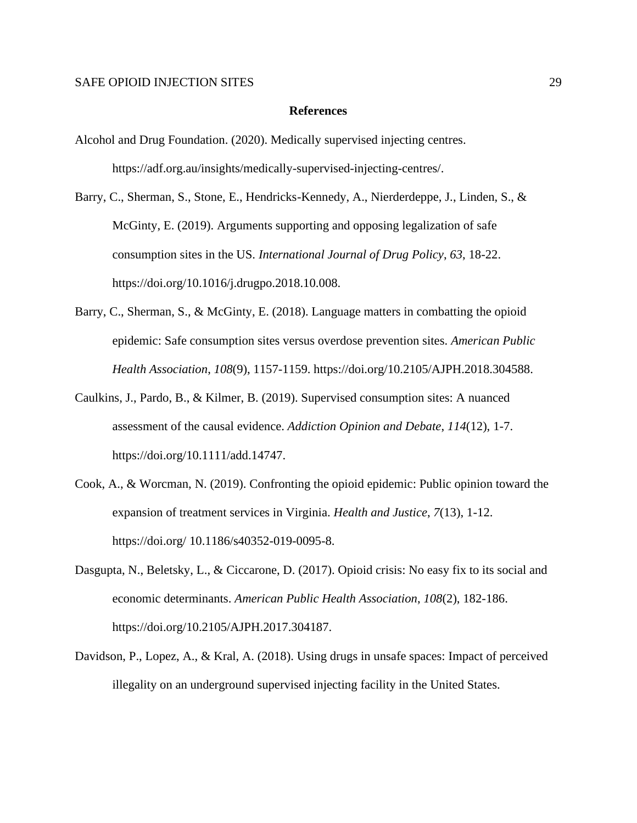#### **References**

- Alcohol and Drug Foundation. (2020). Medically supervised injecting centres. https://adf.org.au/insights/medically-supervised-injecting-centres/.
- Barry, C., Sherman, S., Stone, E., Hendricks-Kennedy, A., Nierderdeppe, J., Linden, S., & McGinty, E. (2019). Arguments supporting and opposing legalization of safe consumption sites in the US. *International Journal of Drug Policy*, *63*, 18-22. https://doi.org/10.1016/j.drugpo.2018.10.008.
- Barry, C., Sherman, S., & McGinty, E. (2018). Language matters in combatting the opioid epidemic: Safe consumption sites versus overdose prevention sites. *American Public Health Association*, *108*(9), 1157-1159. https://doi.org/10.2105/AJPH.2018.304588.
- Caulkins, J., Pardo, B., & Kilmer, B. (2019). Supervised consumption sites: A nuanced assessment of the causal evidence. *Addiction Opinion and Debate*, *114*(12), 1-7. https://doi.org/10.1111/add.14747.
- Cook, A., & Worcman, N. (2019). Confronting the opioid epidemic: Public opinion toward the expansion of treatment services in Virginia. *Health and Justice*, *7*(13), 1-12. https://doi.org/ 10.1186/s40352-019-0095-8.
- Dasgupta, N., Beletsky, L., & Ciccarone, D. (2017). Opioid crisis: No easy fix to its social and economic determinants. *American Public Health Association*, *108*(2), 182-186. https://doi.org/10.2105/AJPH.2017.304187.
- Davidson, P., Lopez, A., & Kral, A. (2018). Using drugs in unsafe spaces: Impact of perceived illegality on an underground supervised injecting facility in the United States.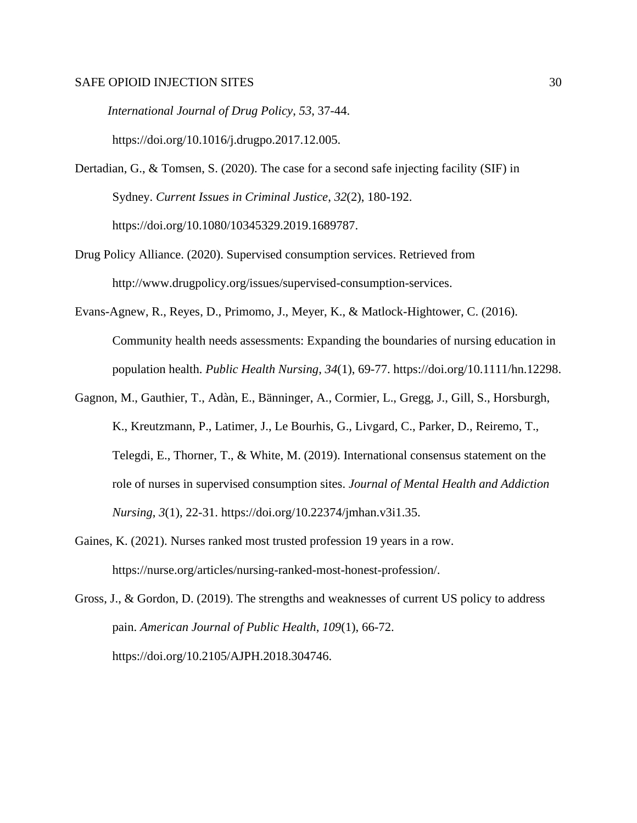*International Journal of Drug Policy*, *53*, 37-44. https://doi.org/10.1016/j.drugpo.2017.12.005.

- Dertadian, G., & Tomsen, S. (2020). The case for a second safe injecting facility (SIF) in Sydney. *Current Issues in Criminal Justice*, *32*(2), 180-192. https://doi.org/10.1080/10345329.2019.1689787.
- Drug Policy Alliance. (2020). Supervised consumption services. Retrieved from http://www.drugpolicy.org/issues/supervised-consumption-services.
- Evans-Agnew, R., Reyes, D., Primomo, J., Meyer, K., & Matlock-Hightower, C. (2016). Community health needs assessments: Expanding the boundaries of nursing education in population health. *Public Health Nursing*, *34*(1), 69-77. https://doi.org/10.1111/hn.12298.
- Gagnon, M., Gauthier, T., Adàn, E., Bänninger, A., Cormier, L., Gregg, J., Gill, S., Horsburgh, K., Kreutzmann, P., Latimer, J., Le Bourhis, G., Livgard, C., Parker, D., Reiremo, T., Telegdi, E., Thorner, T., & White, M. (2019). International consensus statement on the role of nurses in supervised consumption sites. *Journal of Mental Health and Addiction Nursing*, *3*(1), 22-31. https://doi.org/10.22374/jmhan.v3i1.35.
- Gaines, K. (2021). Nurses ranked most trusted profession 19 years in a row. https://nurse.org/articles/nursing-ranked-most-honest-profession/.
- Gross, J., & Gordon, D. (2019). The strengths and weaknesses of current US policy to address pain. *American Journal of Public Health*, *109*(1), 66-72. https://doi.org/10.2105/AJPH.2018.304746.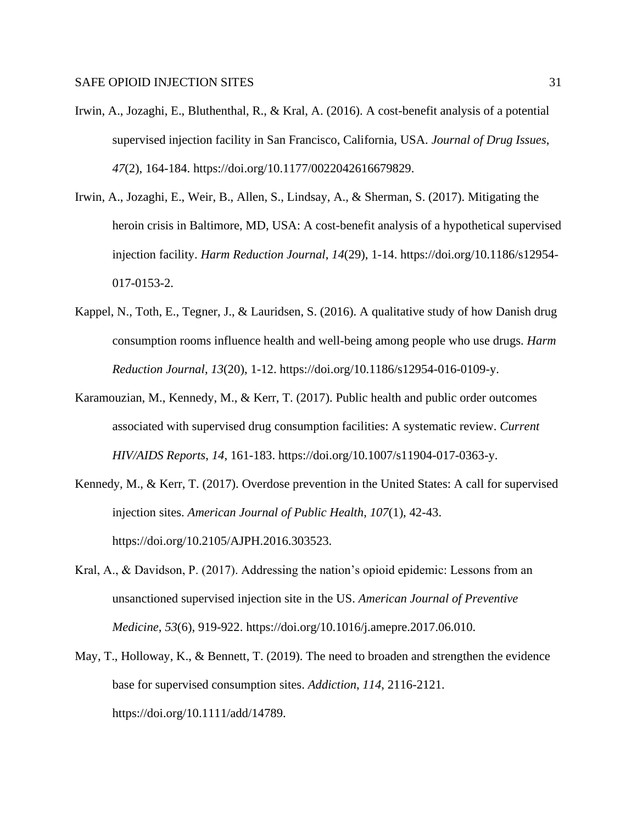- Irwin, A., Jozaghi, E., Bluthenthal, R., & Kral, A. (2016). A cost-benefit analysis of a potential supervised injection facility in San Francisco, California, USA. *Journal of Drug Issues*, *47*(2), 164-184. https://doi.org/10.1177/0022042616679829.
- Irwin, A., Jozaghi, E., Weir, B., Allen, S., Lindsay, A., & Sherman, S. (2017). Mitigating the heroin crisis in Baltimore, MD, USA: A cost-benefit analysis of a hypothetical supervised injection facility. *Harm Reduction Journal*, *14*(29), 1-14. https://doi.org/10.1186/s12954- 017-0153-2.
- Kappel, N., Toth, E., Tegner, J., & Lauridsen, S. (2016). A qualitative study of how Danish drug consumption rooms influence health and well-being among people who use drugs. *Harm Reduction Journal*, *13*(20), 1-12. https://doi.org/10.1186/s12954-016-0109-y.
- Karamouzian, M., Kennedy, M., & Kerr, T. (2017). Public health and public order outcomes associated with supervised drug consumption facilities: A systematic review. *Current HIV/AIDS Reports*, *14*, 161-183. https://doi.org/10.1007/s11904-017-0363-y.
- Kennedy, M., & Kerr, T. (2017). Overdose prevention in the United States: A call for supervised injection sites. *American Journal of Public Health*, *107*(1), 42-43. https://doi.org/10.2105/AJPH.2016.303523.
- Kral, A., & Davidson, P. (2017). Addressing the nation's opioid epidemic: Lessons from an unsanctioned supervised injection site in the US. *American Journal of Preventive Medicine*, *53*(6), 919-922. https://doi.org/10.1016/j.amepre.2017.06.010.
- May, T., Holloway, K., & Bennett, T. (2019). The need to broaden and strengthen the evidence base for supervised consumption sites. *Addiction*, *114*, 2116-2121. https://doi.org/10.1111/add/14789.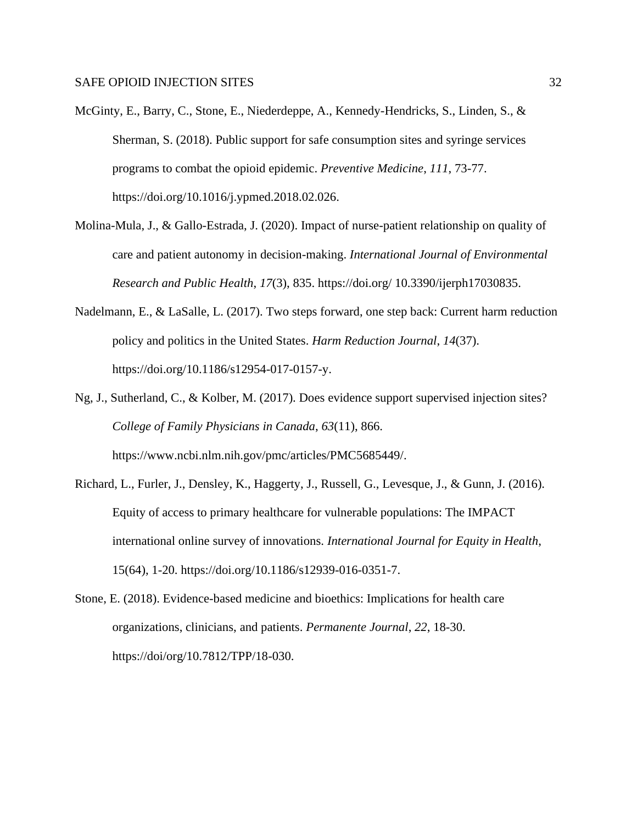- McGinty, E., Barry, C., Stone, E., Niederdeppe, A., Kennedy-Hendricks, S., Linden, S., & Sherman, S. (2018). Public support for safe consumption sites and syringe services programs to combat the opioid epidemic. *Preventive Medicine*, *111*, 73-77. https://doi.org/10.1016/j.ypmed.2018.02.026.
- Molina-Mula, J., & Gallo-Estrada, J. (2020). Impact of nurse-patient relationship on quality of care and patient autonomy in decision-making. *International Journal of Environmental Research and Public Health*, *17*(3), 835. https://doi.org/ 10.3390/ijerph17030835.
- Nadelmann, E., & LaSalle, L. (2017). Two steps forward, one step back: Current harm reduction policy and politics in the United States. *Harm Reduction Journal*, *14*(37). https://doi.org/10.1186/s12954-017-0157-y.
- Ng, J., Sutherland, C., & Kolber, M. (2017). Does evidence support supervised injection sites? *College of Family Physicians in Canada*, *63*(11), 866. https://www.ncbi.nlm.nih.gov/pmc/articles/PMC5685449/.
- Richard, L., Furler, J., Densley, K., Haggerty, J., Russell, G., Levesque, J., & Gunn, J. (2016). Equity of access to primary healthcare for vulnerable populations: The IMPACT international online survey of innovations. *International Journal for Equity in Health*, 15(64), 1-20. https://doi.org/10.1186/s12939-016-0351-7.
- Stone, E. (2018). Evidence-based medicine and bioethics: Implications for health care organizations, clinicians, and patients. *Permanente Journal*, *22*, 18-30. https://doi/org/10.7812/TPP/18-030.